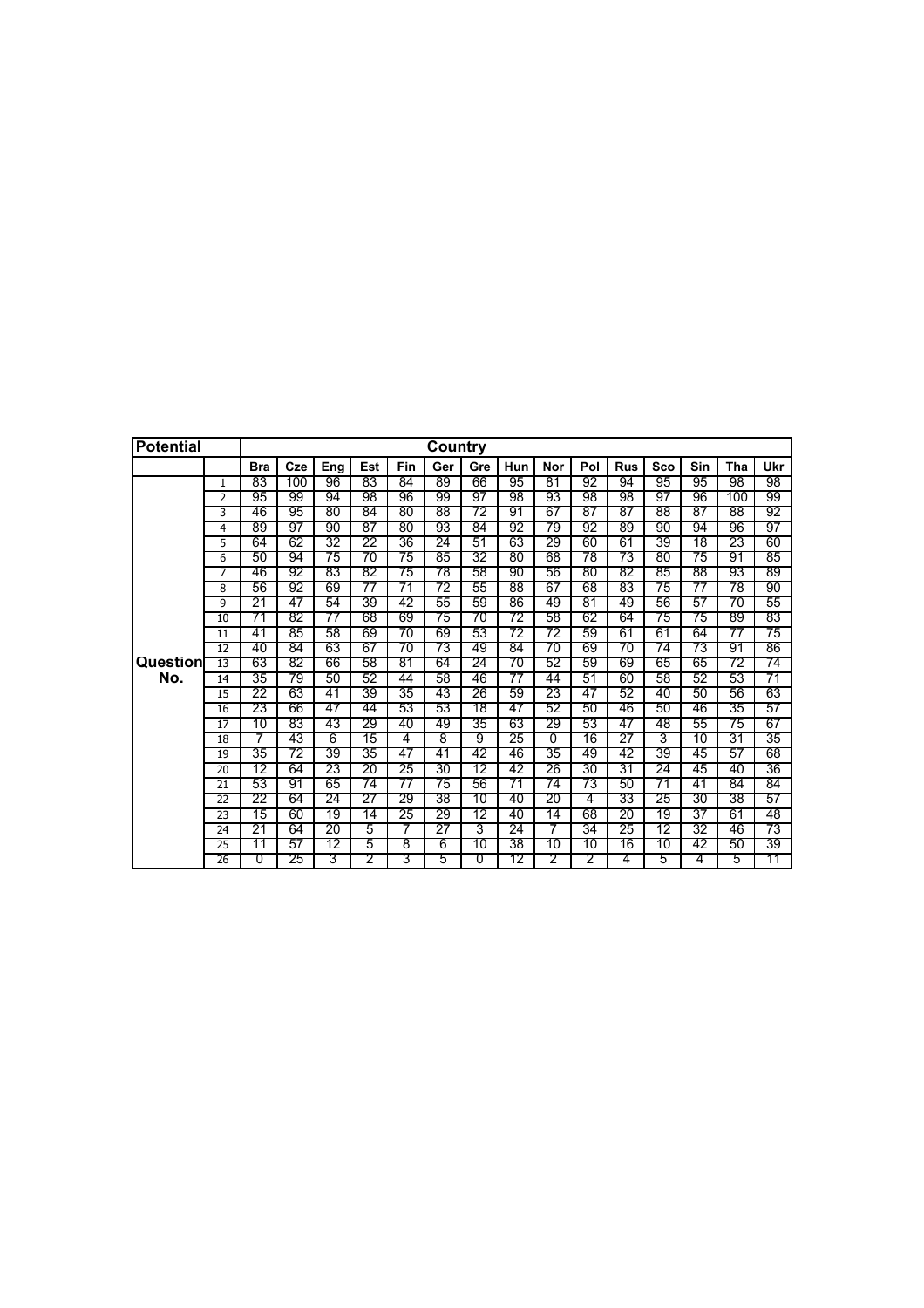| <b>Potential</b> |                |                |     |     |     |     | Country |                |     |     |     |            |     |     |     |     |
|------------------|----------------|----------------|-----|-----|-----|-----|---------|----------------|-----|-----|-----|------------|-----|-----|-----|-----|
|                  |                | <b>Bra</b>     | Cze | Ena | Est | Fin | Ger     | Gre            | Hun | Nor | Pol | <b>Rus</b> | Sco | Sin | Tha | Ukr |
|                  | $\mathbf{1}$   | 83             | 100 | 96  | 83  | 84  | 89      | 66             | 95  | 81  | 92  | 94         | 95  | 95  | 98  | 98  |
|                  | $\overline{2}$ | 95             | 99  | 94  | 98  | 96  | 99      | 97             | 98  | 93  | 98  | 98         | 97  | 96  | 100 | 99  |
|                  | 3              | 46             | 95  | 80  | 84  | 80  | 88      | 72             | 91  | 67  | 87  | 87         | 88  | 87  | 88  | 92  |
|                  | 4              | 89             | 97  | 90  | 87  | 80  | 93      | 84             | 92  | 79  | 92  | 89         | 90  | 94  | 96  | 97  |
|                  | 5              | 64             | 62  | 32  | 22  | 36  | 24      | 51             | 63  | 29  | 60  | 61         | 39  | 18  | 23  | 60  |
|                  | 6              | 50             | 94  | 75  | 70  | 75  | 85      | 32             | 80  | 68  | 78  | 73         | 80  | 75  | 91  | 85  |
|                  | 7              | 46             | 92  | 83  | 82  | 75  | 78      | 58             | 90  | 56  | 80  | 82         | 85  | 88  | 93  | 89  |
|                  | 8              | 56             | 92  | 69  | 77  | 71  | 72      | 55             | 88  | 67  | 68  | 83         | 75  | 77  | 78  | 90  |
|                  | 9              | 21             | 47  | 54  | 39  | 42  | 55      | 59             | 86  | 49  | 81  | 49         | 56  | 57  | 70  | 55  |
|                  | 10             | 71             | 82  | 77  | 68  | 69  | 75      | 70             | 72  | 58  | 62  | 64         | 75  | 75  | 89  | 83  |
|                  | 11             | 41             | 85  | 58  | 69  | 70  | 69      | 53             | 72  | 72  | 59  | 61         | 61  | 64  | 77  | 75  |
|                  | 12             | 40             | 84  | 63  | 67  | 70  | 73      | 49             | 84  | 70  | 69  | 70         | 74  | 73  | 91  | 86  |
| Question         | 13             | 63             | 82  | 66  | 58  | 81  | 64      | 24             | 70  | 52  | 59  | 69         | 65  | 65  | 72  | 74  |
| No.              | 14             | 35             | 79  | 50  | 52  | 44  | 58      | 46             | 77  | 44  | 51  | 60         | 58  | 52  | 53  | 71  |
|                  | 15             | 22             | 63  | 41  | 39  | 35  | 43      | 26             | 59  | 23  | 47  | 52         | 40  | 50  | 56  | 63  |
|                  | 16             | 23             | 66  | 47  | 44  | 53  | 53      | 18             | 47  | 52  | 50  | 46         | 50  | 46  | 35  | 57  |
|                  | 17             | 10             | 83  | 43  | 29  | 40  | 49      | 35             | 63  | 29  | 53  | 47         | 48  | 55  | 75  | 67  |
|                  | 18             |                | 43  | 6   | 15  | 4   | 8       | 9              | 25  | O   | 16  | 27         | 3   | 10  | 31  | 35  |
|                  | 19             | 35             | 72  | 39  | 35  | 47  | 41      | 42             | 46  | 35  | 49  | 42         | 39  | 45  | 57  | 68  |
|                  | 20             | 12             | 64  | 23  | 20  | 25  | 30      | 12             | 42  | 26  | 30  | 31         | 24  | 45  | 40  | 36  |
|                  | 21             | 53             | 91  | 65  | 74  | 77  | 75      | 56             | 71  | 74  | 73  | 50         | 71  | 41  | 84  | 84  |
|                  | 22             | 22             | 64  | 24  | 27  | 29  | 38      | 10             | 40  | 20  | 4   | 33         | 25  | 30  | 38  | 57  |
|                  | 23             | 15             | 60  | 19  | 14  | 25  | 29      | 12             | 40  | 14  | 68  | 20         | 19  | 37  | 61  | 48  |
|                  | 24             | 21             | 64  | 20  | 5   | 7   | 27      | 3              | 24  |     | 34  | 25         | 12  | 32  | 46  | 73  |
|                  | 25             | 11             | 57  | 12  | 5   | 8   | 6       | 10             | 38  | 10  | 10  | 16         | 10  | 42  | 50  | 39  |
|                  | 26             | $\overline{0}$ | 25  | 3   | 2   | 3   | 5       | $\overline{0}$ | 12  | 2   | 2   | 4          | 5   | 4   | 5   | 11  |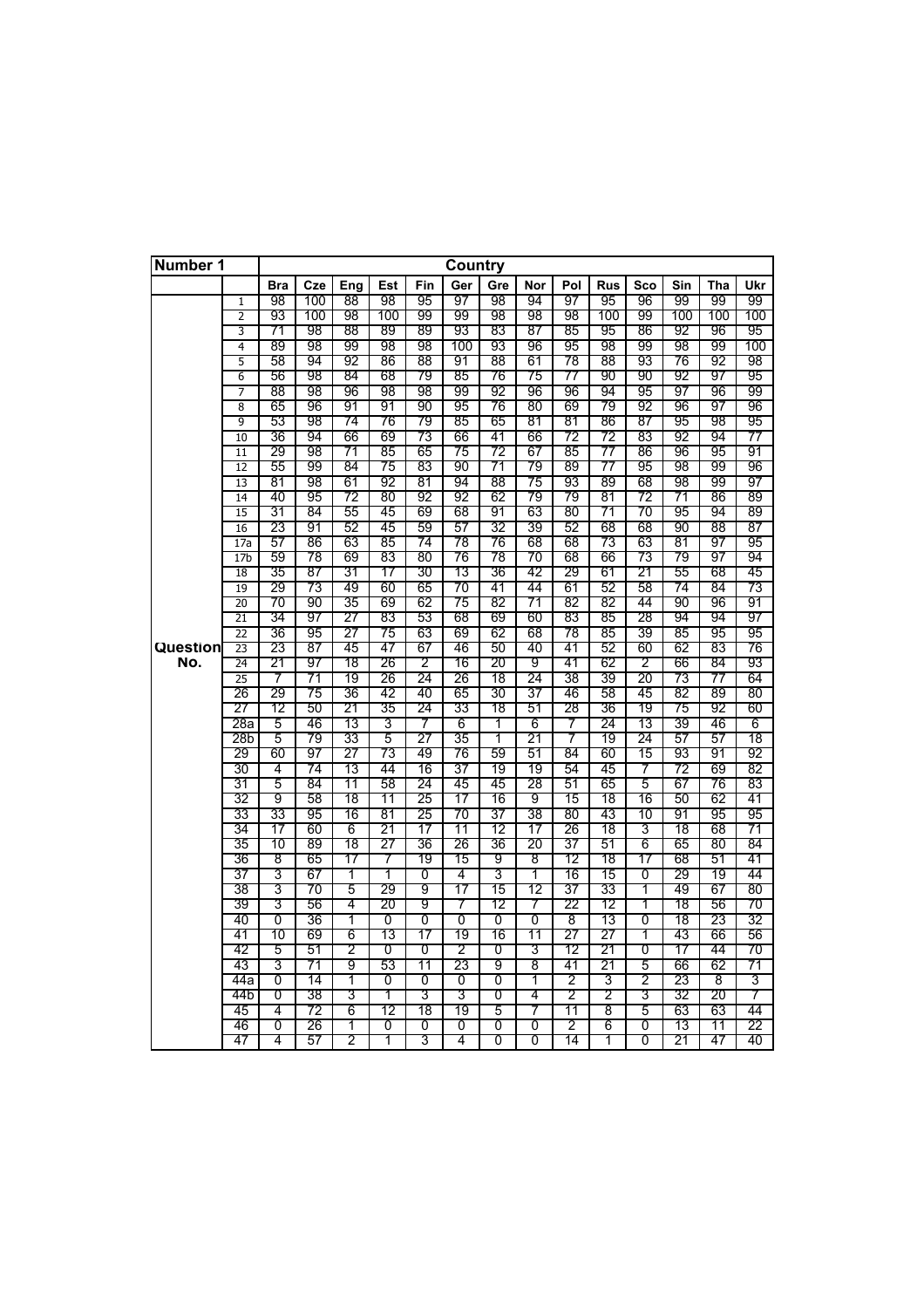| Number 1 |                                    |            |          |          |          |          | Country   |          |                |          |            |                |          |          |           |
|----------|------------------------------------|------------|----------|----------|----------|----------|-----------|----------|----------------|----------|------------|----------------|----------|----------|-----------|
|          |                                    | <b>Bra</b> | Cze      | Eng      | Est      | Fin      | Ger       | Gre      | Nor            | Pol      | <b>Rus</b> | Sco            | Sin      | Tha      | Ukr       |
|          | $\mathbf{1}$                       | 98         | 100      | 88       | 98       | 95       | 97        | 98       | 94             | 97       | 95         | 96             | 99       | 99       | 99        |
|          | 2                                  | 93         | 100      | 98       | 100      | 99       | 99        | 98       | 98             | 98       | 100        | 99             | 100      | 100      | 100       |
|          | 3                                  | 71         | 98       | 88       | 89       | 89       | 93        | 83       | 87             | 85       | 95         | 86             | 92       | 96       | 95        |
|          | 4                                  | 89<br>58   | 98<br>94 | 99<br>92 | 98<br>86 | 98<br>88 | 100<br>91 | 93<br>88 | 96<br>61       | 95<br>78 | 98<br>88   | 99<br>93       | 98<br>76 | 99<br>92 | 100<br>98 |
|          | 5<br>6                             | 56         | 98       | 84       | 68       | 79       | 85        | 76       | 75             | 77       | 90         | 90             | 92       | 97       | 95        |
|          | 7                                  | 88         | 98       | 96       | 98       | 98       | 99        | 92       | 96             | 96       | 94         | 95             | 97       | 96       | 99        |
|          | 8                                  | 65         | 96       | 91       | 91       | 90       | 95        | 76       | 80             | 69       | 79         | 92             | 96       | 97       | 96        |
|          | 9                                  | 53         | 98       | 74       | 76       | 79       | 85        | 65       | 81             | 81       | 86         | 87             | 95       | 98       | 95        |
|          | 10                                 | 36         | 94       | 66       | 69       | 73       | 66        | 41       | 66             | 72       | 72         | 83             | 92       | 94       | 77        |
|          | 11                                 | 29         | 98       | 71       | 85       | 65       | 75        | 72       | 67             | 85       | 77         | 86             | 96       | 95       | 91        |
|          | 12                                 | 55         | 99       | 84       | 75       | 83       | 90        | 71       | 79             | 89       | 77         | 95             | 98       | 99       | 96        |
|          | $\overline{13}$                    | 81         | 98       | 61       | 92       | 81       | 94        | 88       | 75             | 93       | 89         | 68             | 98       | 99       | 97        |
|          | 14                                 | 40         | 95       | 72       | 80       | 92       | 92        | 62       | 79             | 79       | 81         | 72             | 71       | 86       | 89        |
|          | 15                                 | 31         | 84       | 55       | 45       | 69       | 68        | 91       | 63             | 80       | 71         | 70             | 95       | 94       | 89        |
|          | 16                                 | 23         | 91       | 52       | 45       | 59       | 57        | 32       | 39             | 52       | 68         | 68             | 90       | 88       | 87        |
|          | 17a                                | 57         | 86       | 63       | 85       | 74       | 78        | 76       | 68             | 68       | 73         | 63             | 81       | 97       | 95        |
|          | 17 <sub>b</sub>                    | 59         | 78       | 69       | 83       | 80       | 76        | 78       | 70             | 68       | 66         | 73             | 79       | 97       | 94        |
|          | 18                                 | 35         | 87       | 31       | 17       | 30       | 13        | 36       | 42             | 29       | 61         | 21             | 55       | 68       | 45        |
|          | 19                                 | 29         | 73       | 49       | 60       | 65       | 70        | 41       | 44             | 61       | 52         | 58             | 74       | 84       | 73        |
|          | $\overline{20}$                    | 70         | 90       | 35       | 69       | 62       | 75        | 82       | 71             | 82       | 82         | 44             | 90       | 96       | 91        |
|          | $\overline{21}$<br>$\overline{22}$ | 34         | 97<br>95 | 27       | 83       | 53<br>63 | 68<br>69  | 69<br>62 | 60             | 83       | 85         | 28<br>39       | 94       | 94<br>95 | 97        |
| Question | 23                                 | 36<br>23   | 87       | 27<br>45 | 75<br>47 | 67       | 46        | 50       | 68<br>40       | 78<br>41 | 85<br>52   | 60             | 85<br>62 | 83       | 95<br>76  |
| No.      | 24                                 | 21         | 97       | 18       | 26       | 2        | 16        | 20       | 9              | 41       | 62         | 2              | 66       | 84       | 93        |
|          | $\overline{25}$                    | 7          | 71       | 19       | 26       | 24       | 26        | 18       | 24             | 38       | 39         | 20             | 73       | 77       | 64        |
|          | 26                                 | 29         | 75       | 36       | 42       | 40       | 65        | 30       | 37             | 46       | 58         | 45             | 82       | 89       | 80        |
|          | 27                                 | 12         | 50       | 21       | 35       | 24       | 33        | 18       | 51             | 28       | 36         | 19             | 75       | 92       | 60        |
|          | 28a                                | 5          | 46       | 13       | 3        | 7        | 6         | 1        | 6              | 7        | 24         | 13             | 39       | 46       | 6         |
|          | 28b                                | 5          | 79       | 33       | 5        | 27       | 35        | 1        | 21             | 7        | 19         | 24             | 57       | 57       | 18        |
|          | 29                                 | 60         | 97       | 27       | 73       | 49       | 76        | 59       | 51             | 84       | 60         | 15             | 93       | 91       | 92        |
|          | 30                                 | 4          | 74       | 13       | 44       | 16       | 37        | 19       | 19             | 54       | 45         | 7              | 72       | 69       | 82        |
|          | 31                                 | 5          | 84       | 11       | 58       | 24       | 45        | 45       | 28             | 51       | 65         | 5              | 67       | 76       | 83        |
|          | 32                                 | 9          | 58       | 18       | 11       | 25       | 17        | 16       | 9              | 15       | 18         | 16             | 50       | 62       | 41        |
|          | 33                                 | 33         | 95       | 16       | 81       | 25       | 70        | 37       | 38             | 80       | 43         | 10             | 91       | 95       | 95        |
|          | 34                                 | 17         | 60       | 6        | 21       | 17       | 11        | 12       | 17             | 26       | 18         | 3              | 18       | 68       | 71        |
|          | 35                                 | 10         | 89       | 18       | 27       | 36       | 26        | 36       | 20             | 37       | 51         | 6<br>17        | 65       | 80       | 84        |
|          | 36<br>37                           | 8<br>3     | 65<br>67 | 17<br>1  | 7<br>1   | 19<br>0  | 15<br>4   | 9<br>3   | 8<br>1         | 12<br>16 | 18<br>15   | $\overline{0}$ | 68<br>29 | 51<br>19 | 41<br>44  |
|          | 38                                 | 3          | 70       | 5        | 29       | 9        | 17        | 15       | 12             | 37       | 33         | 1              | 49       | 67       | 80        |
|          | 39                                 | 3          | 56       | 4        | 20       | 9        | 7         | 12       | 7              | 22       | 12         | 1              | 18       | 56       | 70        |
|          | 40                                 | 0          | 36       | 1        | 0        | 0        | 0         | 0        | $\overline{0}$ | 8        | 13         | 0              | 18       | 23       | 32        |
|          | 41                                 | 10         | 69       | 6        | 13       | 17       | 19        | 16       | 11             | 27       | 27         | 1              | 43       | 66       | 56        |
|          | 42                                 | 5          | 51       | 2        | 0        | 0        | 2         | 0        | 3              | 12       | 21         | 0              | 17       | 44       | 70        |
|          | 43                                 | 3          | 71       | 9        | 53       | 11       | 23        | 9        | 8              | 41       | 21         | 5              | 66       | 62       | 71        |
|          | 44a                                | 0          | 14       | 1        | 0        | 0        | 0         | 0        | 1              | 2        | 3          | 2              | 23       | 8        | 3         |
|          | 44b                                | 0          | 38       | 3        | 1        | 3        | 3         | 0        | 4              | 2        | 2          | 3              | 32       | 20       | 7         |
|          | 45                                 | 4          | 72       | 6        | 12       | 18       | 19        | 5        | 7              | 11       | 8          | 5              | 63       | 63       | 44        |
|          | 46                                 | 0          | 26       | 1        | 0        | 0        | 0         | 0        | 0              | 2        | 6          | 0              | 13       | 11       | 22        |
|          | 47                                 | 4          | 57       | 2        | 1        | 3        | 4         | 0        | 0              | 14       | 1          | 0              | 21       | 47       | 40        |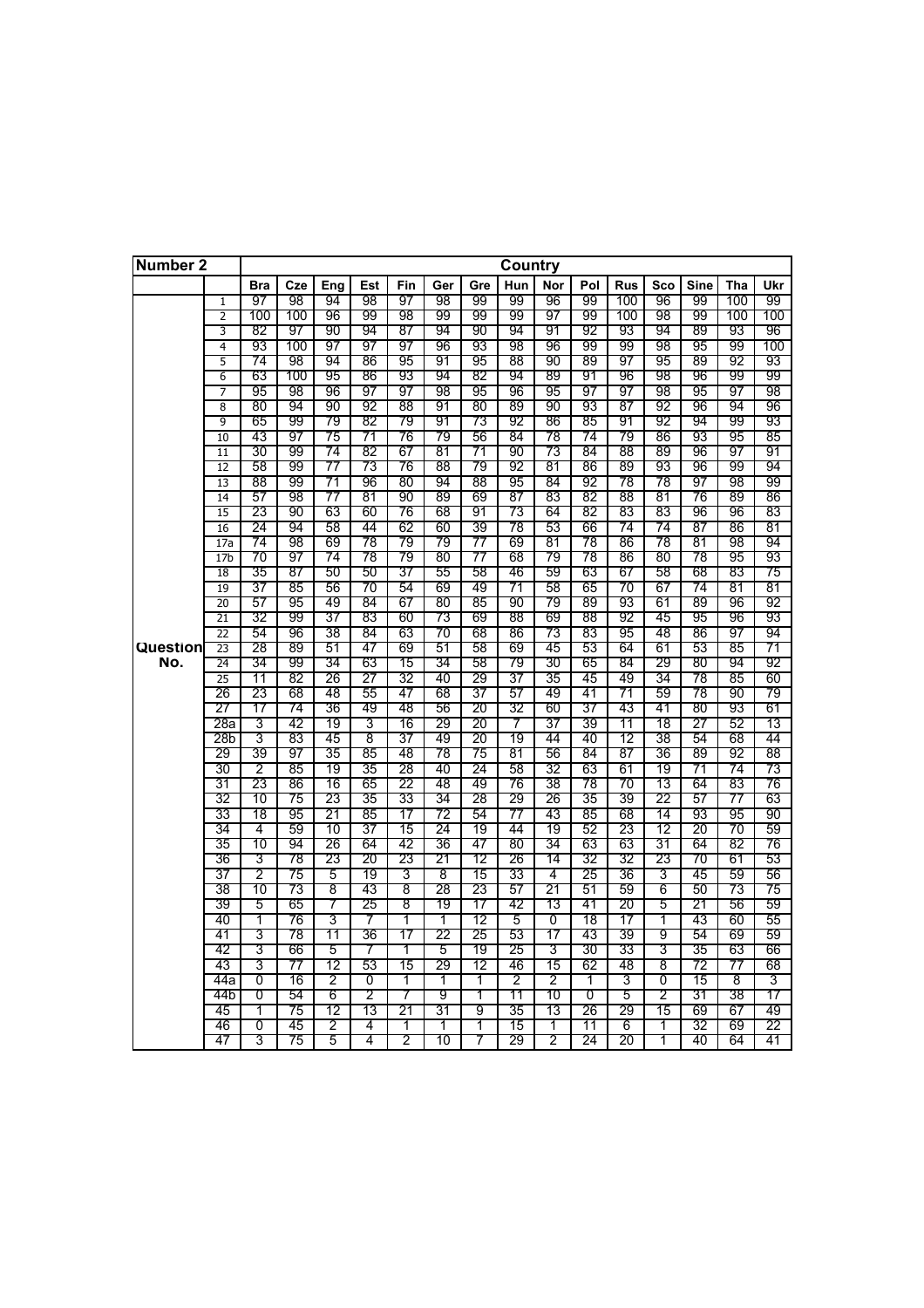| Number 2 |                                    |            |          |          |          |          |          |          | Country  |                |          |            |                |             |          |          |
|----------|------------------------------------|------------|----------|----------|----------|----------|----------|----------|----------|----------------|----------|------------|----------------|-------------|----------|----------|
|          |                                    | <b>Bra</b> | Cze      | Eng      | Est      | Fin      | Ger      | Gre      | Hun      | Nor            | Pol      | <b>Rus</b> | Sco            | <b>Sine</b> | Tha      | Ukr      |
|          | ī                                  | 97         | 98       | 94       | 98       | 97       | 98       | 99       | 99       | 96             | 99       | 100        | 96             | 99          | 100      | 99       |
|          | 2                                  | 100        | 100      | 96       | 99       | 98       | 99       | 99       | 99       | 97             | 99       | 100        | 98             | 99          | 100      | 100      |
|          | 3                                  | 82         | 97       | 90       | 94       | 87       | 94       | 90       | 94       | 91             | 92       | 93         | 94             | 89          | 93       | 96       |
|          | 4                                  | 93         | 100      | 97       | 97       | 97       | 96       | 93       | 98       | 96             | 99       | 99         | 98             | 95          | 99       | 100      |
|          | 5                                  | 74         | 98       | 94       | 86       | 95       | 91       | 95       | 88       | 90             | 89       | 97         | 95             | 89          | 92       | 93       |
|          | $\overline{6}$                     | 63         | 100      | 95       | 86       | 93       | 94       | 82       | 94       | 89             | 91       | 96         | 98             | 96          | 99       | 99       |
|          | 7                                  | 95         | 98       | 96       | 97       | 97       | 98       | 95       | 96       | 95             | 97       | 97         | 98             | 95          | 97       | 98       |
|          | 8                                  | 80         | 94       | 90       | 92       | 88       | 91       | 80       | 89       | 90             | 93       | 87         | 92             | 96          | 94       | 96       |
|          | 9                                  | 65         | 99       | 79       | 82       | 79       | 91       | 73       | 92       | 86             | 85       | 91         | 92             | 94          | 99       | 93       |
|          | 10                                 | 43         | 97       | 75       | 71       | 76       | 79       | 56       | 84       | 78             | 74       | 79         | 86             | 93          | 95       | 85       |
|          | 11                                 | 30         | 99       | 74       | 82       | 67       | 81       | 71       | 90       | 73             | 84       | 88         | 89             | 96          | 97       | 91       |
|          | 12                                 | 58         | 99       | 77       | 73       | 76       | 88       | 79       | 92       | 81             | 86       | 89         | 93             | 96          | 99       | 94       |
|          | $\overline{13}$                    | 88         | 99       | 71       | 96       | 80       | 94       | 88       | 95       | 84             | 92       | 78         | 78             | 97          | 98       | 99       |
|          | 14                                 | 57         | 98       | 77       | 81       | 90       | 89       | 69       | 87       | 83             | 82       | 88         | 81             | 76          | 89       | 86       |
|          | $\overline{15}$                    | 23         | 90       | 63       | 60<br>44 | 76       | 68       | 91       | 73       | 64             | 82       | 83         | 83             | 96          | 96       | 83       |
|          | 16                                 | 24         | 94       | 58       |          | 62       | 60       | 39       | 78       | 53             | 66       | 74         | 74             | 87          | 86       | 81       |
|          | 17a                                | 74         | 98       | 69       | 78       | 79       | 79       | 77       | 69       | 81             | 78       | 86         | 78             | 81          | 98       | 94       |
|          | 17 <sub>b</sub>                    | 70<br>35   | 97       | 74<br>50 | 78       | 79<br>37 | 80       | 77       | 68       | 79<br>59       | 78       | 86         | 80             | 78          | 95<br>83 | 93       |
|          | 18                                 | 37         | 87       |          | 50       |          | 55       | 58<br>49 | 46       |                | 63       | 67         | 58             | 68<br>74    | 81       | 75<br>81 |
|          | 19                                 | 57         | 85<br>95 | 56<br>49 | 70<br>84 | 54<br>67 | 69<br>80 | 85       | 71<br>90 | 58<br>79       | 65<br>89 | 70<br>93   | 67<br>61       | 89          | 96       | 92       |
|          | 20                                 | 32         | 99       | 37       | 83       | 60       |          | 69       | 88       | 69             | 88       | 92         | 45             | 95          | 96       | 93       |
|          | $\overline{21}$<br>$\overline{22}$ | 54         | 96       | 38       | 84       | 63       | 73<br>70 | 68       | 86       | 73             | 83       | 95         | 48             | 86          | 97       | 94       |
| Question | 23                                 | 28         | 89       | 51       | 47       | 69       | 51       | 58       | 69       | 45             | 53       | 64         | 61             | 53          | 85       | 71       |
| No.      | $\overline{24}$                    | 34         | 99       | 34       | 63       | 15       | 34       | 58       | 79       | 30             | 65       | 84         | 29             | 80          | 94       | 92       |
|          | $\overline{25}$                    | 11         | 82       | 26       | 27       | 32       | 40       | 29       | 37       | 35             | 45       | 49         | 34             | 78          | 85       | 60       |
|          | 26                                 | 23         | 68       | 48       | 55       | 47       | 68       | 37       | 57       | 49             | 41       | 71         | 59             | 78          | 90       | 79       |
|          | 27                                 | 17         | 74       | 36       | 49       | 48       | 56       | 20       | 32       | 60             | 37       | 43         | 41             | 80          | 93       | 61       |
|          | 28a                                | 3          | 42       | 19       | 3        | 16       | 29       | 20       | 7        | 37             | 39       | 11         | 18             | 27          | 52       | 13       |
|          | 28b                                | 3          | 83       | 45       | 8        | 37       | 49       | 20       | 19       | 44             | 40       | 12         | 38             | 54          | 68       | 44       |
|          | 29                                 | 39         | 97       | 35       | 85       | 48       | 78       | 75       | 81       | 56             | 84       | 87         | 36             | 89          | 92       | 88       |
|          | 30                                 | 2          | 85       | 19       | 35       | 28       | 40       | 24       | 58       | 32             | 63       | 61         | 19             | 71          | 74       | 73       |
|          | 31                                 | 23         | 86       | 16       | 65       | 22       | 48       | 49       | 76       | 38             | 78       | 70         | 13             | 64          | 83       | 76       |
|          | 32                                 | 10         | 75       | 23       | 35       | 33       | 34       | 28       | 29       | 26             | 35       | 39         | 22             | 57          | 77       | 63       |
|          | 33                                 | 18         | 95       | 21       | 85       | 17       | 72       | 54       | 77       | 43             | 85       | 68         | 14             | 93          | 95       | 90       |
|          | 34                                 | 4          | 59       | 10       | 37       | 15       | 24       | 19       | 44       | 19             | 52       | 23         | 12             | 20          | 70       | 59       |
|          | 35                                 | 10         | 94       | 26       | 64       | 42       | 36       | 47       | 80       | 34             | 63       | 63         | 31             | 64          | 82       | 76       |
|          | 36                                 | 3          | 78       | 23       | 20       | 23       | 21       | 12       | 26       | 14             | 32       | 32         | 23             | 70          | 61       | 53       |
|          | 37                                 | 2          | 75       | 5        | 19       | 3        | 8        | 15       | 33       | 4              | 25       | 36         | 3              | 45          | 59       | 56       |
|          | 38                                 | 10         | 73       | 8        | 43       | 8        | 28       | 23       | 57       | 21             | 51       | 59         | 6              | 50          | 73       | 75       |
|          | 39                                 | 5          | 65       | 7        | 25       | 8        | 19       | 17       | 42       | 13             | 41       | 20         | 5              | 21          | 56       | 59       |
|          | 40                                 | 1          | 76       | 3        | 7        | 1        | 1        | 12       | 5        | $\overline{0}$ | 18       | 17         | 1              | 43          | 60       | 55       |
|          | 41                                 | 3          | 78       | 11       | 36       | 17       | 22       | 25       | 53       | 17             | 43       | 39         | $\overline{9}$ | 54          | 69       | 59       |
|          | 42                                 | 3          | 66       | 5        | 7        | 1        | 5        | 19       | 25       | 3              | 30       | 33         | 3              | 35          | 63       | 66       |
|          | 43                                 | 3          | 77       | 12       | 53       | 15       | 29       | 12       | 46       | 15             | 62       | 48         | 8              | 72          | 77       | 68       |
|          | 44а                                | 0          | 16       | 2        | 0        | T        | T        | 1        | 2        | 2              | 1        | 3          | 0              | 15          | 8        | 3        |
|          | 44b                                | 0          | 54       | 6        | 2        | 7        | 9        | 1        | 11       | 10             | 0        | 5          | 2              | 31          | 38       | 17       |
|          | 45                                 | 1          | 75       | 12       | 13       | 21       | 31       | 9        | 35       | 13             | 26       | 29         | 15             | 69          | 67       | 49       |
|          | 46                                 | 0          | 45       | 2        | 4        | 1        | 1        | 1        | 15       | 1              | 11       | 6          | 1              | 32          | 69       | 22       |
|          | 47                                 | 3          | 75       | 5        | 4        | 2        | 10       | 7        | 29       | 2              | 24       | 20         | 1              | 40          | 64       | 41       |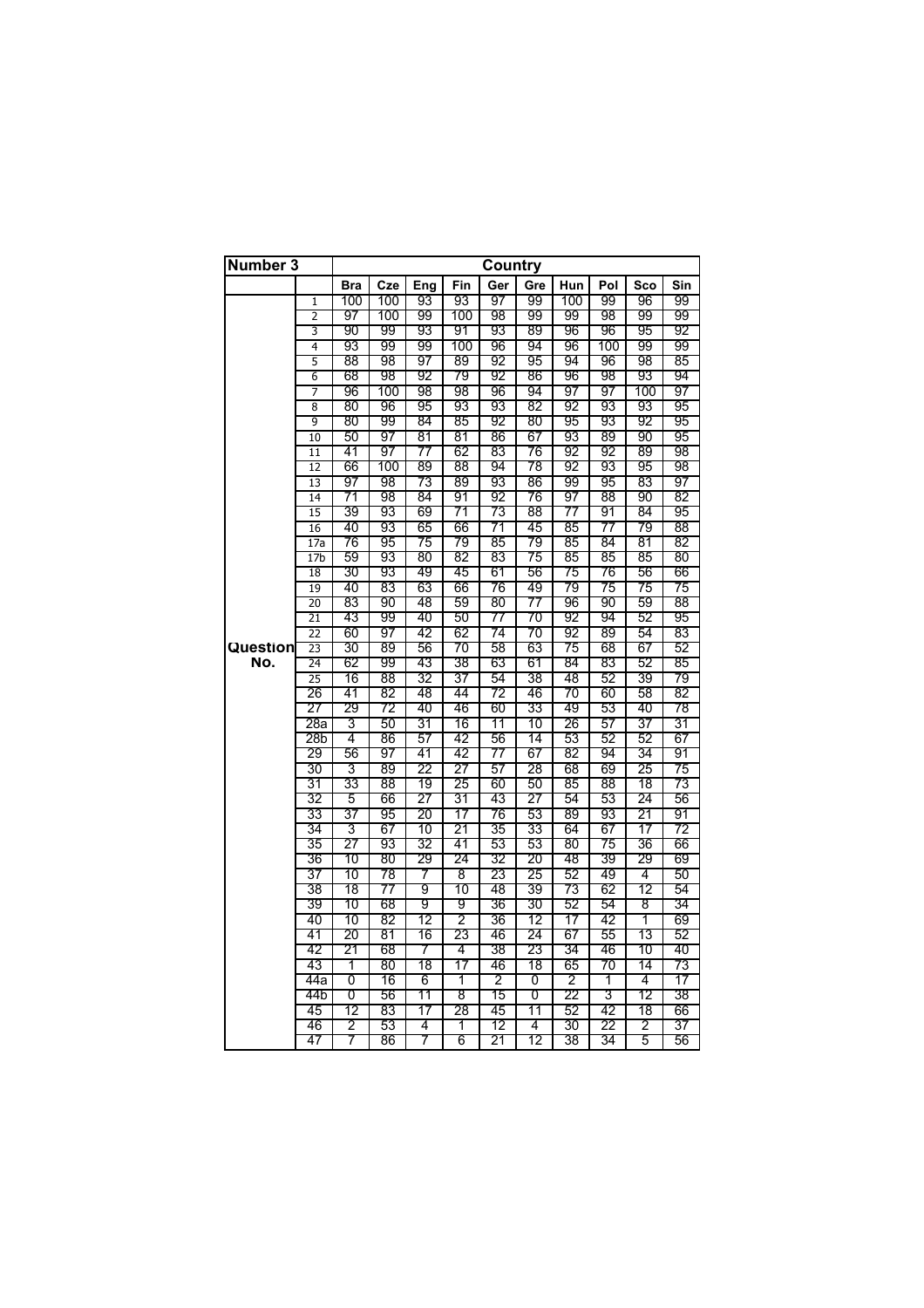| Number 3 |                 |            |          |          |          | Country  |          |          |          |          |          |
|----------|-----------------|------------|----------|----------|----------|----------|----------|----------|----------|----------|----------|
|          |                 | <b>Bra</b> | Cze      | Eng      | Fin      | Ger      | Gre      | Hun      | Pol      | Sco      | Sin      |
|          | $\mathbf{1}$    | 100        | 100      | 93       | 93       | 97       | 99       | 100      | 99       | 96       | 99       |
|          | 2               | 97         | 100      | 99       | 100      | 98       | 99       | 99       | 98       | 99       | 99       |
|          | 3               | 90         | 99       | 93       | 91       | 93       | 89       | 96       | 96       | 95       | 92       |
|          | 4               | 93         | 99       | 99       | 100      | 96       | 94       | 96       | 100      | 99       | 99       |
|          | 5               | 88         | 98       | 97       | 89       | 92       | 95       | 94       | 96       | 98       | 85       |
|          | 6               | 68         | 98       | 92       | 79       | 92       | 86       | 96       | 98       | 93       | 94       |
|          | 7               | 96         | 100      | 98       | 98       | 96       | 94       | 97       | 97       | 100      | 97       |
|          | 8               | 80         | 96       | 95       | 93       | 93       | 82       | 92       | 93       | 93       | 95       |
|          | 9               | 80         | 99       | 84       | 85       | 92       | 80       | 95       | 93       | 92       | 95       |
|          | 10              | 50         | 97       | 81       | 81       | 86       | 67       | 93       | 89       | 90       | 95       |
|          | 11              | 41         | 97       | 77       | 62       | 83       | 76       | 92       | 92       | 89       | 98       |
|          | $\overline{12}$ | 66         | 100      | 89       | 88       | 94       | 78       | 92       | 93       | 95       | 98       |
|          | 13              | 97         | 98       | 73       | 89       | 93       | 86       | 99       | 95       | 83       | 97       |
|          | 14              | 71         | 98       | 84       | 91       | 92       | 76       | 97       | 88       | 90       | 82       |
|          | 15              | 39         | 93       | 69       | 71       | 73       | 88       | 77       | 91       | 84       | 95       |
|          | 16              | 40         | 93       | 65       | 66       | 71       | 45       | 85       | 77       | 79       | 88       |
|          | 17a             | 76         | 95       | 75       | 79       | 85       | 79       | 85       | 84       | 81       | 82       |
|          | 17 <sub>b</sub> | 59         | 93       | 80       | 82       | 83       | 75       | 85       | 85       | 85       | 80       |
|          | 18              | 30         | 93       | 49       | 45       | 61       | 56       | 75       | 76       | 56       | 66       |
|          | 19              | 40         | 83       | 63       | 66       | 76       | 49       | 79       | 75       | 75       | 75       |
|          | 20              | 83         | 90       | 48       | 59       | 80       | 77       | 96       | 90       | 59       | 88       |
|          | $\overline{21}$ | 43         | 99       | 40       | 50       | 77       | 70       | 92       | 94       | 52       | 95       |
|          | $\overline{22}$ | 60         | 97       | 42       | 62       | 74       | 70       | 92       | 89       | 54       | 83       |
| Question | 23              | 30         | 89       | 56       | 70       | 58       | 63       | 75       | 68       | 67       | 52       |
| No.      | 24              | 62         | 99       | 43       | 38       | 63       | 61       | 84       | 83       | 52       | 85       |
|          | $\overline{25}$ | 16         | 88       | 32       | 37       | 54       | 38       | 48       | 52       | 39       | 79       |
|          | 26              | 41         | 82       | 48       | 44       | 72       | 46       | 70       | 60       | 58       | 82       |
|          | 27              | 29         | 72       | 40       | 46       | 60       | 33       | 49       | 53       | 40       | 78       |
|          | 28a             | 3          | 50       | 31       | 16       | 11       | 10       | 26       | 57       | 37       | 31       |
|          | 28b             | 4          | 86       | 57       | 42       | 56       | 14       | 53       | 52       | 52       | 67       |
|          | 29              | 56         | 97       | 41       | 42       | 77       | 67       | 82       | 94       | 34       | 91       |
|          | 30              | 3          | 89       | 22       | 27       | 57       | 28       | 68       | 69       | 25       | 75       |
|          | 31              | 33         | 88       | 19       | 25       | 60       | 50       | 85       | 88       | 18       | 73       |
|          | 32<br>33        | 5<br>37    | 66<br>95 | 27<br>20 | 31<br>17 | 43<br>76 | 27<br>53 | 54<br>89 | 53<br>93 | 24<br>21 | 56<br>91 |
|          | 34              | 3          | 67       | 10       | 21       | 35       | 33       | 64       | 67       | 17       | 72       |
|          | 35              | 27         | 93       | 32       | 41       | 53       | 53       | 80       | 75       | 36       | 66       |
|          | 36              | 10         | 80       | 29       | 24       | 32       | 20       | 48       | 39       | 29       | 69       |
|          | 37              | 10         | 78       | 7        | 8        | 23       | 25       | 52       | 49       | 4        | 50       |
|          | 38              | 18         | 77       | 9        | 10       | 48       | 39       | 73       | 62       | 12       | 54       |
|          | 39              | 10         | 68       | 9        | 9        | 36       | 30       | 52       | 54       | 8        | 34       |
|          | 40              | 10         | 82       | 12       | 2        | 36       | 12       | 17       | 42       | 1        | 69       |
|          | 41              | 20         | 81       | 16       | 23       | 46       | 24       | 67       | 55       | 13       | 52       |
|          | 42              | 21         | 68       | 7        | 4        | 38       | 23       | 34       | 46       | 10       | 40       |
|          | 43              | 1          | 80       | 18       | 17       | 46       | 18       | 65       | 70       | 14       | 73       |
|          | 44a             | 0          | 16       | 6        | 1        | 2        | 0        | 2        | 1        | 4        | 17       |
|          | 44b             | 0          | 56       | 11       | 8        | 15       | 0        | 22       | 3        | 12       | 38       |
|          | 45              | 12         | 83       | 17       | 28       | 45       | 11       | 52       | 42       | 18       | 66       |
|          | 46              | 2          | 53       | 4        | 1        | 12       | 4        | 30       | 22       | 2        | 37       |
|          | 47              | 7          | 86       | 7        | 6        | 21       | 12       | 38       | 34       | 5        | 56       |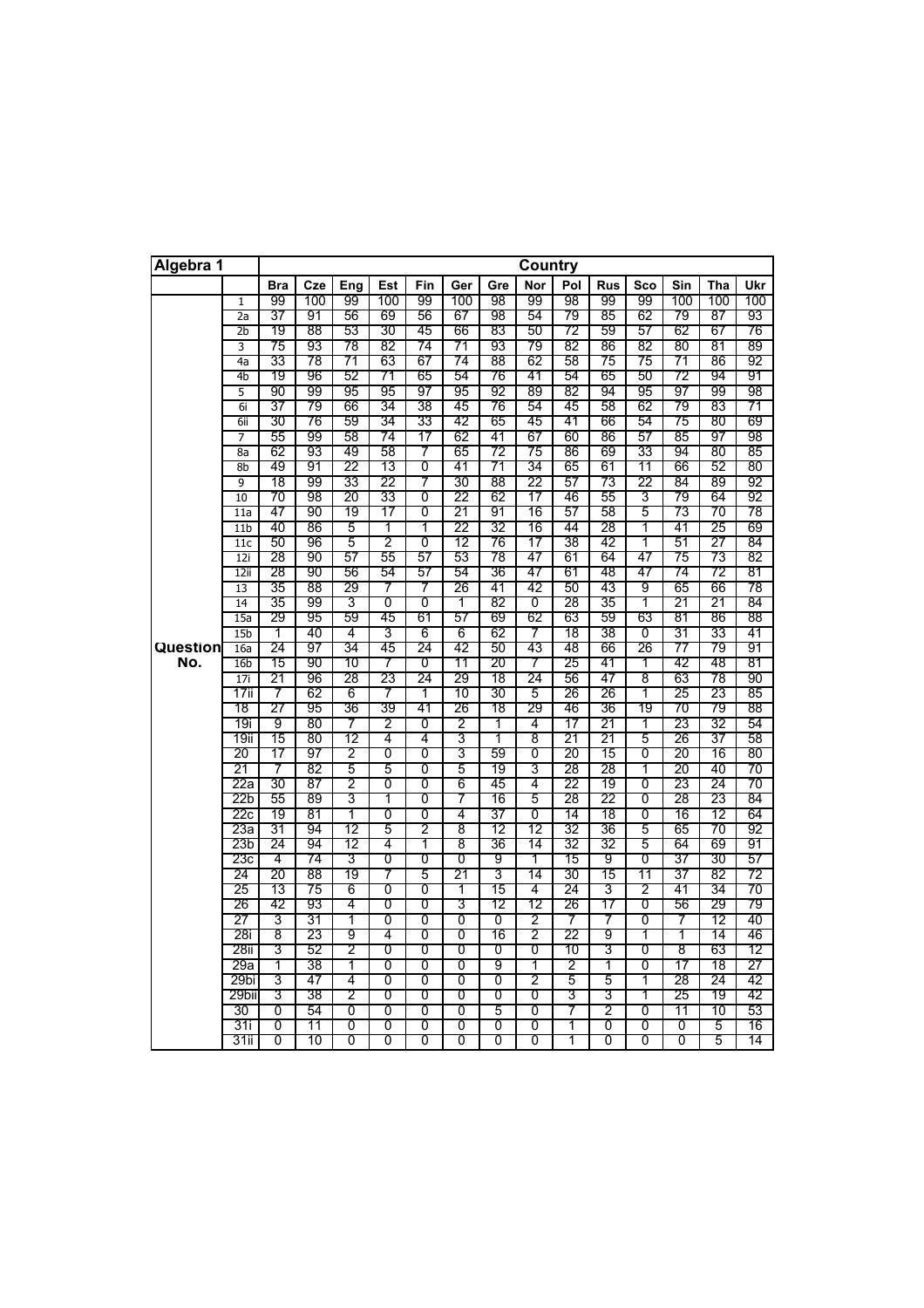| Algebra 1 |                 |            |          |          |          |        |          |          | <b>Country</b> |          |            |          |          |          |          |
|-----------|-----------------|------------|----------|----------|----------|--------|----------|----------|----------------|----------|------------|----------|----------|----------|----------|
|           |                 | <b>Bra</b> | Cze      | Eng      | Est      | Fin    | Ger      | Gre      | Nor            | Pol      | <b>Rus</b> | Sco      | Sin      | Tha      | Ukr      |
|           | 1               | 99         | 100      | 99       | 100      | 99     | 100      | 98       | 99             | 98       | 99         | 99       | 100      | 100      | 100      |
|           | 2a              | 37         | 91       | 56       | 69       | 56     | 67       | 98       | 54             | 79       | 85         | 62       | 79       | 87       | 93       |
|           | $_{2b}$         | 19         | 88       | 53       | 30       | 45     | 66       | 83       | 50             | 72       | 59         | 57       | 62       | 67       | 76       |
|           | 3               | 75         | 93       | 78       | 82       | 74     | 71       | 93       | 79             | 82       | 86         | 82       | 80       | 81       | 89       |
|           | 4a              | 33         | 78       | 71       | 63       | 67     | 74       | 88       | 62             | 58       | 75         | 75       | 71       | 86       | 92       |
|           | 4b              | 19         | 96       | 52       | 71       | 65     | 54       | 76       | 41             | 54       | 65         | 50       | 72       | 94       | 91       |
|           | 5               | 90         | 99       | 95       | 95       | 97     | 95       | 92       | 89             | 82       | 94         | 95       | 97       | 99       | 98       |
|           | 6i              | 37         | 79       | 66       | 34       | 38     | 45       | 76       | 54             | 45       | 58         | 62       | 79       | 83       | 71       |
|           | 6ii             | 30         | 76       | 59       | 34       | 33     | 42       | 65       | 45             | 41       | 66         | 54       | 75       | 80       | 69       |
|           | 7               | 55         | 99       | 58       | 74       | 17     | 62       | 41       | 67             | 60       | 86         | 57       | 85       | 97       | 98       |
|           | 8a              | 62         | 93       | 49       | 58       | 7      | 65       | 72       | 75             | 86       | 69         | 33       | 94       | 80       | 85<br>80 |
|           | 8b<br>9         | 49<br>18   | 91<br>99 | 22<br>33 | 13       | 0<br>7 | 41<br>30 | 71<br>88 | 34<br>22       | 65       | 61         | 11<br>22 | 66       | 52<br>89 |          |
|           | 10              | 70         | 98       | 20       | 22<br>33 | 0      | 22       | 62       | 17             | 57<br>46 | 73<br>55   |          | 84<br>79 | 64       | 92<br>92 |
|           | 11a             | 47         | 90       | 19       | 17       | 0      | 21       | 91       | 16             | 57       | 58         | 3<br>5   | 73       | 70       | 78       |
|           | 11 <sub>b</sub> | 40         | 86       | 5        | T        | T      | 22       | 32       | 16             | 44       | 28         | T        | 41       | 25       | 69       |
|           | 11c             | 50         | 96       | 5        | 2        | 0      | 12       | 76       | 17             | 38       | 42         | 1        | 51       | 27       | 84       |
|           | 12i             | 28         | 90       | 57       | 55       | 57     | 53       | 78       | 47             | 61       | 64         | 47       | 75       | 73       | 82       |
|           | 12ii            | 28         | 90       | 56       | 54       | 57     | 54       | 36       | 47             | 61       | 48         | 47       | 74       | 72       | 81       |
|           | 13              | 35         | 88       | 29       | 7        | 7      | 26       | 41       | 42             | 50       | 43         | 9        | 65       | 66       | 78       |
|           | 14              | 35         | 99       | 3        | 0        | 0      | 1        | 82       | 0              | 28       | 35         | 1        | 21       | 21       | 84       |
|           | 15a             | 29         | 95       | 59       | 45       | 61     | 57       | 69       | 62             | 63       | 59         | 63       | 81       | 86       | 88       |
|           | 15 <sub>b</sub> | 1          | 40       | 4        | 3        | 6      | 6        | 62       | 7              | 18       | 38         | 0        | 31       | 33       | 41       |
| Question  | 16a             | 24         | 97       | 34       | 45       | 24     | 42       | 50       | 43             | 48       | 66         | 26       | 77       | 79       | 91       |
| No.       | 16 <sub>b</sub> | 15         | 90       | 10       | 7        | 0      | 11       | 20       | 7              | 25       | 41         | 1        | 42       | 48       | 81       |
|           | 17i             | 21         | 96       | 28       | 23       | 24     | 29       | 18       | 24             | 56       | 47         | 8        | 63       | 78       | 90       |
|           | 17ii            | 7          | 62       | 6        | 7        | 1      | 10       | 30       | 5              | 26       | 26         | 1        | 25       | 23       | 85       |
|           | 18              | 27         | 95       | 36       | 39       | 41     | 26       | 18       | 29             | 46       | 36         | 19       | 70       | 79       | 88       |
|           | 19i             | 9          | 80       | 7        | 2        | 0      | 2        | 1        | 4              | 17       | 21         | 1        | 23       | 32       | 54       |
|           | 19ii            | 15         | 80       | 12       | 4        | 4      | 3        | 1        | 8              | 21       | 21         | 5        | 26       | 37       | 58       |
|           | 20              | 17         | 97       | 2        | 0        | 0      | 3        | 59       | 0              | 20       | 15         | 0        | 20       | 16       | 80       |
|           | 21              | 7          | 82       | 5        | 5        | 0<br>0 | 5        | 19       | 3              | 28       | 28         | 1        | 20       | 40       | 70       |
|           | 22a<br>22b      | 30<br>55   | 87<br>89 | 2<br>3   | 0<br>1   | 0      | 6<br>7   | 45<br>16 | 4<br>5         | 22<br>28 | 19<br>22   | 0<br>0   | 23<br>28 | 24<br>23 | 70<br>84 |
|           | 22с             | 19         | 81       | 1        | 0        | 0      | 4        | 37       | 0              | 14       | 18         | 0        | 16       | 12       | 64       |
|           | 23а             | 31         | 94       | 12       | 5        | 2      | 8        | 12       | 12             | 32       | 36         | 5        | 65       | 70       | 92       |
|           | 23b             | 24         | 94       | 12       | 4        | 1      | 8        | 36       | 14             | 32       | 32         | 5        | 64       | 69       | 91       |
|           | 23с             | 4          | 74       | 3        | 0        | 0      | 0        | 9        | 1              | 15       | 9          | 0        | 37       | 30       | 57       |
|           | 24              | 20         | 88       | 19       | 7        | 5      | 21       | 3        | 14             | 30       | 15         | 11       | 37       | 82       | 72       |
|           | 25              | 13         | 75       | 6        | 0        | 0      | 1        | 15       | 4              | 24       | 3          | 2        | 41       | 34       | 70       |
|           | 26              | 42         | 93       | 4        | 0        | 0      | 3        | 12       | 12             | 26       | 17         | 0        | 56       | 29       | 79       |
|           | 27              | 3          | 31       | 1        | 0        | 0      | 0        | 0        | $\overline{2}$ | 7        | 7          | 0        | 7        | 12       | 40       |
|           | 28i             | 8          | 23       | 9        | 4        | 0      | 0        | 16       | $\overline{2}$ | 22       | 9          | 1        | 1        | 14       | 46       |
|           | 28ii            | 3          | 52       | 2        | 0        | 0      | 0        | 0        | 0              | 10       | 3          | 0        | 8        | 63       | 12       |
|           | 29a             | 1          | 38       | 1        | 0        | 0      | 0        | 9        | 1              | 2        | 1          | 0        | 17       | 18       | 27       |
|           | 29bi            | 3          | 47       | 4        | 0        | 0      | 0        | 0        | 2              | 5        | 5          | 1        | 28       | 24       | 42       |
|           | 29bii           | 3          | 38       | 2        | 0        | 0      | 0        | 0        | 0              | 3        | 3          | 1        | 25       | 19       | 42       |
|           | 30              | 0          | 54       | 0        | 0        | 0      | 0        | 5        | 0              | 7        | 2          | 0        | 11       | 10       | 53       |
|           | 31i             | 0          | 11       | 0        | Ō        | Ō      | Ō        | 0        | 0              | 1        | 0          | Ō        | 0        | 5        | 16       |
|           | 31ii            | 0          | 10       | 0        | 0        | 0      | Ō        | 0        | 0              | 1        | 0          | Ō        | 0        | 5        | 14       |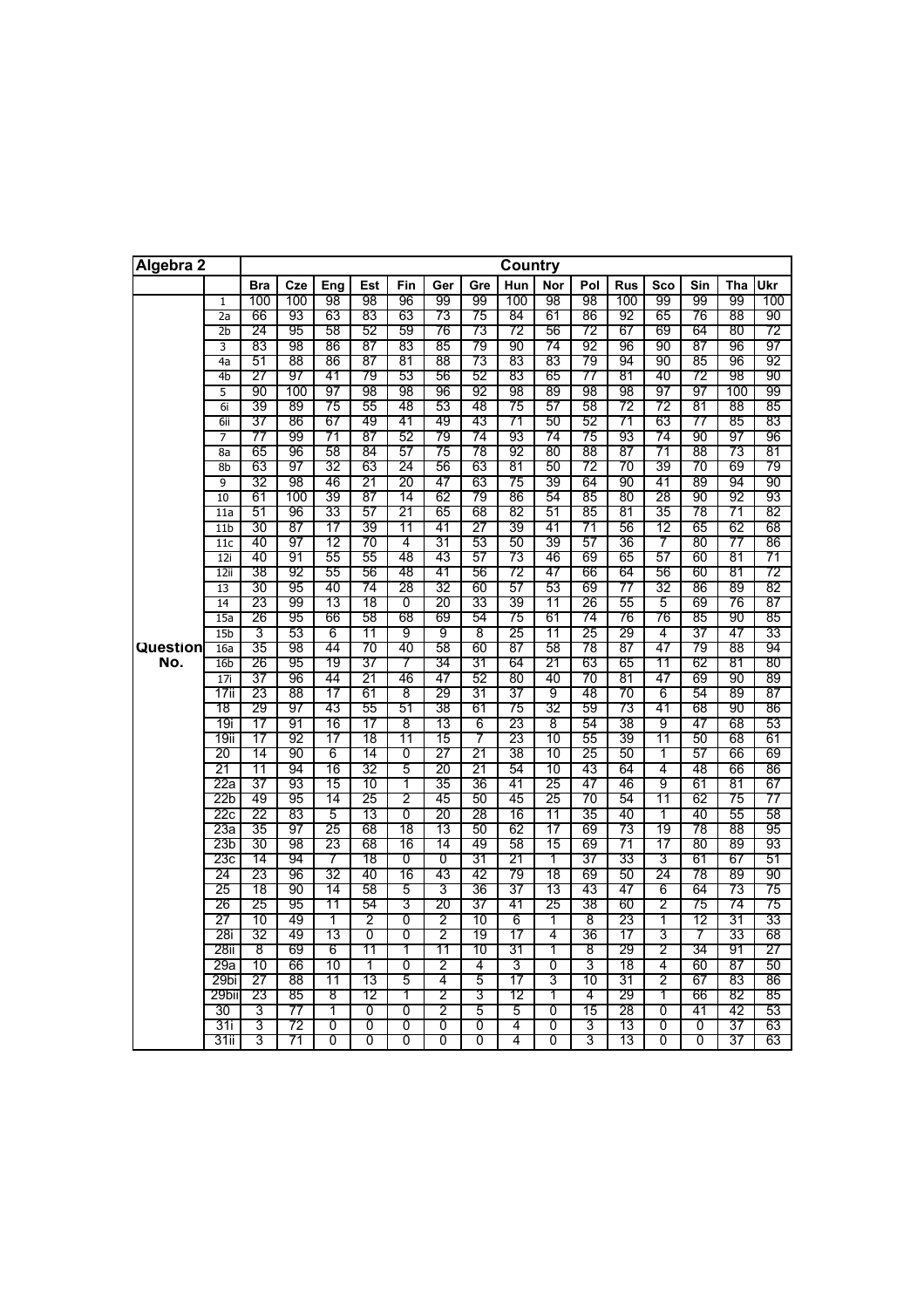| Algebra 2 |                        |            |          |          |          |          |          |          | <b>Country</b> |          |          |            |          |          |          |          |
|-----------|------------------------|------------|----------|----------|----------|----------|----------|----------|----------------|----------|----------|------------|----------|----------|----------|----------|
|           |                        | <b>Bra</b> | Cze      | Eng      | Est      | Fin      | Ger      | Gre      | Hun            | Nor      | Pol      | <b>Rus</b> | Sco      | Sin      | Tha      | Ukr      |
|           | $\mathbf{1}$           | 100        | 100      | 98       | 98       | 96       | 99       | 99       | 100            | 98       | 98       | 100        | 99       | 99       | 99       | 100      |
|           | 2a                     | 66         | 93       | 63       | 83       | 63       | 73       | 75       | 84             | 61       | 86       | 92         | 65       | 76       | 88       | 90       |
|           | $_{\rm 2b}$            | 24         | 95       | 58       | 52       | 59       | 76       | 73       | 72             | 56       | 72       | 67         | 69       | 64       | 80       | 72       |
|           | 3<br>4a                | 83<br>51   | 98<br>88 | 86<br>86 | 87<br>87 | 83<br>81 | 85<br>88 | 79<br>73 | 90<br>83       | 74<br>83 | 92<br>79 | 96<br>94   | 90<br>90 | 87<br>85 | 96<br>96 | 97<br>92 |
|           | 4b                     | 27         | 97       | 41       | 79       | 53       | 56       | 52       | 83             | 65       | 77       | 81         | 40       | 72       | 98       | 90       |
|           | 5                      | 90         | 100      | 97       | 98       | 98       | 96       | 92       | 98             | 89       | 98       | 98         | 97       | 97       | 100      | 99       |
|           | 6i                     | 39         | 89       | 75       | 55       | 48       | 53       | 48       | 75             | 57       | 58       | 72         | 72       | 81       | 88       | 85       |
|           | 6ii                    | 37         | 86       | 67       | 49       | 41       | 49       | 43       | 71             | 50       | 52       | 71         | 63       | 77       | 85       | 83       |
|           | 7                      | 77         | 99       | 71       | 87       | 52       | 79       | 74       | 93             | 74       | 75       | 93         | 74       | 90       | 97       | 96       |
|           | 8a                     | 65         | 96       | 58       | 84       | 57       | 75       | 78       | 92             | 80       | 88       | 87         | 71       | 88       | 73       | 81       |
|           | 8 <sub>b</sub>         | 63         | 97       | 32       | 63       | 24       | 56       | 63       | 81             | 50       | 72       | 70         | 39       | 70       | 69       | 79       |
|           | 9                      | 32         | 98       | 46       | 21       | 20       | 47       | 63       | 75             | 39       | 64       | 90         | 41       | 89       | 94       | 90       |
|           | 10                     | 61         | 100      | 39       | 87       | 14       | 62       | 79       | 86             | 54       | 85       | 80         | 28       | 90       | 92       | 93       |
|           | $\overline{11a}$       | 51         | 96       | 33       | 57       | 21       | 65       | 68       | 82             | 51       | 85       | 81         | 35       | 78       | 71       | 82       |
|           | 11 <sub>b</sub>        | 30         | 87       | 17       | 39       | 11       | 41       | 27       | 39             | 41       | 71       | 56         | 12       | 65       | 62       | 68       |
|           | 11c                    | 40         | 97       | 12       | 70       | 4        | 31       | 53       | 50             | 39       | 57       | 36         | 7        | 80       | 77       | 86       |
|           | 12i                    | 40         | 91       | 55       | 55       | 48       | 43       | 57       | 73             | 46       | 69       | 65         | 57       | 60       | 81       | 71       |
|           | 12ii                   | 38         | 92       | 55       | 56       | 48       | 41       | 56       | 72             | 47       | 66       | 64         | 56       | 60       | 81       | 72       |
|           | $\overline{13}$        | 30         | 95       | 40       | 74       | 28       | 32       | 60       | 57             | 53       | 69       | 77         | 32       | 86       | 89       | 82       |
|           | 14                     | 23         | 99       | 13       | 18       | Ō        | 20       | 33       | 39             | 11       | 26       | 55         | 5<br>76  | 69       | 76<br>90 | 87<br>85 |
|           | 15a                    | 26<br>3    | 95<br>53 | 66<br>6  | 58<br>11 | 68<br>9  | 69<br>9  | 54<br>8  | 75<br>25       | 61<br>11 | 74<br>25 | 76<br>29   | 4        | 85<br>37 | 47       | 33       |
| Question  | 15 <sub>b</sub><br>16a | 35         | 98       | 44       | 70       | 40       | 58       | 60       | 87             | 58       | 78       | 87         | 47       | 79       | 88       | 94       |
| No.       | 16 <sub>b</sub>        | 26         | 95       | 19       | 37       | 7        | 34       | 31       | 64             | 21       | 63       | 65         | 11       | 62       | 81       | 80       |
|           | 17i                    | 37         | 96       | 44       | 21       | 46       | 47       | 52       | 80             | 40       | 70       | 81         | 47       | 69       | 90       | 89       |
|           | 17ii                   | 23         | 88       | 17       | 61       | 8        | 29       | 31       | 37             | 9        | 48       | 70         | 6        | 54       | 89       | 87       |
|           | 18                     | 29         | 97       | 43       | 55       | 51       | 38       | 61       | 75             | 32       | 59       | 73         | 41       | 68       | 90       | 86       |
|           | 19i                    | 17         | 91       | 16       | 17       | 8        | 13       | 6        | 23             | 8        | 54       | 38         | 9        | 47       | 68       | 53       |
|           | 19ii                   | 17         | 92       | 17       | 18       | 11       | 15       | 7        | 23             | 10       | 55       | 39         | 11       | 50       | 68       | 61       |
|           | 20                     | 14         | 90       | 6        | 14       | 0        | 27       | 21       | 38             | 10       | 25       | 50         | 1        | 57       | 66       | 69       |
|           | 21                     | 11         | 94       | 16       | 32       | 5        | 20       | 21       | 54             | 10       | 43       | 64         | 4        | 48       | 66       | 86       |
|           | 22a                    | 37         | 93       | 15       | 10       | 1        | 35       | 36       | 41             | 25       | 47       | 46         | 9        | 61       | 81       | 67       |
|           | 22b                    | 49         | 95       | 14       | 25       | 2        | 45       | 50       | 45             | 25       | 70       | 54         | 11       | 62       | 75       | 77       |
|           | 22c                    | 22         | 83       | 5        | 13       | 0        | 20       | 28       | 16             | 11       | 35       | 40         | 1        | 40       | 55       | 58       |
|           | 23а                    | 35         | 97       | 25       | 68       | 18       | 13       | 50       | 62             | 17       | 69       | 73<br>71   | 19       | 78       | 88       | 95       |
|           | 23 <sub>b</sub><br>23с | 30<br>14   | 98<br>94 | 23<br>7  | 68<br>18 | 16<br>0  | 14<br>Ō  | 49<br>31 | 58<br>21       | 15<br>1  | 69<br>37 | 33         | 17<br>3  | 80<br>61 | 89<br>67 | 93<br>51 |
|           | 24                     | 23         | 96       | 32       | 40       | 16       | 43       | 42       | 79             | 18       | 69       | 50         | 24       | 78       | 89       | 90       |
|           | 25                     | 18         | 90       | 14       | 58       | 5        | 3        | 36       | 37             | 13       | 43       | 47         | 6        | 64       | 73       | 75       |
|           | 26                     | 25         | 95       | 11       | 54       | 3        | 20       | 37       | 41             | 25       | 38       | 60         | 2        | 75       | 74       | 75       |
|           | 27                     | 10         | 49       | 1        | 2        | 0        | 2        | 10       | 6              | 1        | 8        | 23         | 1        | 12       | 31       | 33       |
|           | 28i                    | 32         | 49       | 13       | 0        | 0        | 2        | 19       | 17             | 4        | 36       | 17         | 3        | 7        | 33       | 68       |
|           | 28ii                   | 8          | 69       | 6        | 11       | 1        | 11       | 10       | 31             | 1        | 8        | 29         | 2        | 34       | 91       | 27       |
|           | 29a                    | 10         | 66       | 10       | T        | 0        | 2        | 4        | 3              | 0        | 3        | 18         | 4        | 60       | 87       | 50       |
|           | 29bi                   | 27         | 88       | 11       | 13       | 5        | 4        | 5        | 17             | 3        | 10       | 31         | 2        | 67       | 83       | 86       |
|           | 29bii                  | 23         | 85       | 8        | 12       | 1        | 2        | 3        | 12             | 1        | 4        | 29         | 1        | 66       | 82       | 85       |
|           | 30                     | 3          | 77       | 1        | 0        | 0        | 2        | 5        | 5              | 0        | 15       | 28         | 0        | 41       | 42       | 53       |
|           | 31i                    | 3          | 72       | Ō        | 0        | 0        | 0        | 0        | 4              | 0        | 3        | 13         | 0        | 0        | 37       | 63       |
|           | 31ii                   | 3          | 71       | 0        | Ō        | 0        | 0        | 0        | 4              | 0        | 3        | 13         | Ō        | 0        | 37       | 63       |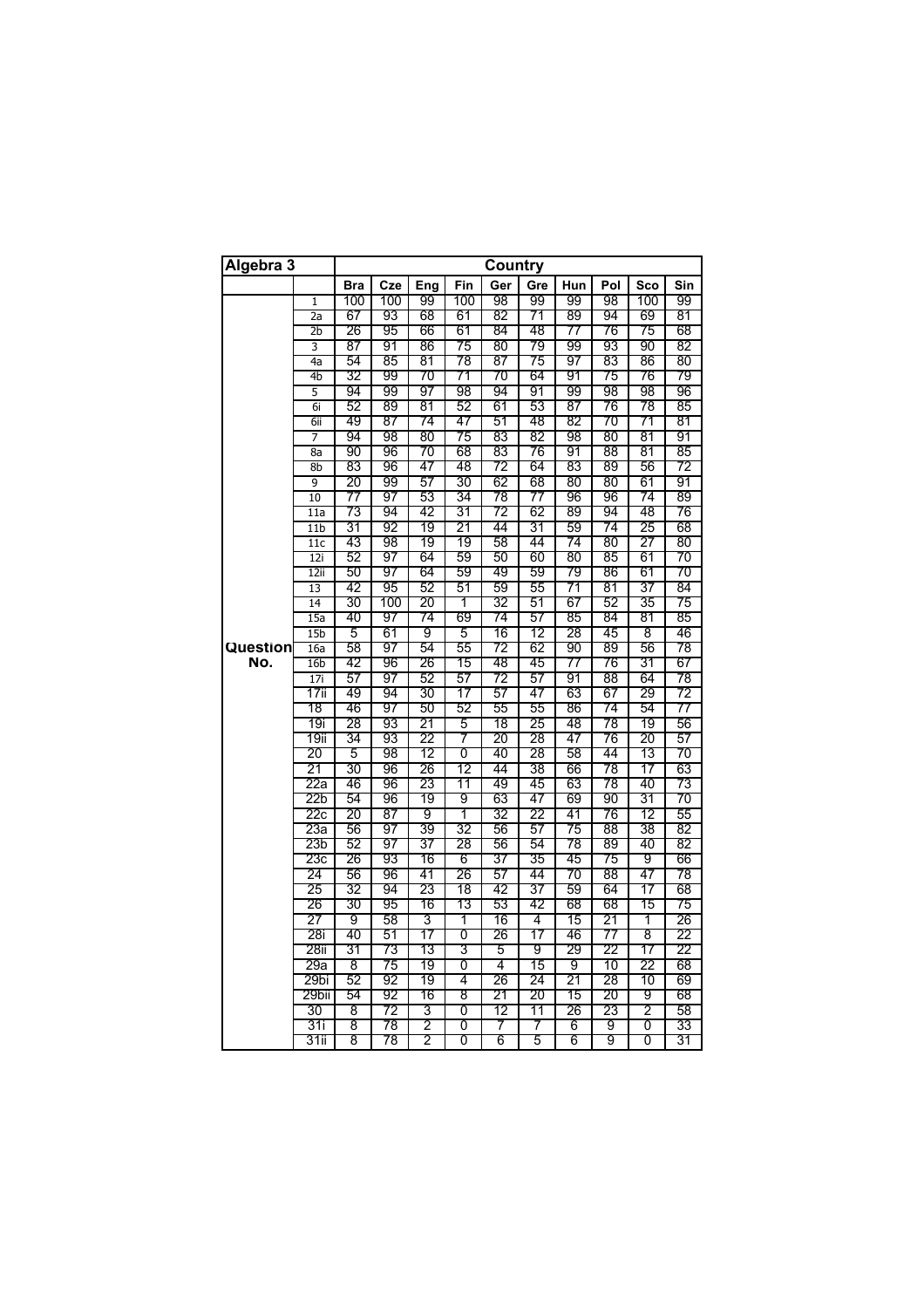| Algebra 3 |                 |          |          |         |         | Country  |          |          |          |                |          |
|-----------|-----------------|----------|----------|---------|---------|----------|----------|----------|----------|----------------|----------|
|           |                 | Bra      | Cze      | Eng     | Fin     | Ger      | Gre      | Hun      | Pol      | Sco            | Sin      |
|           | 1               | 100      | 100      | 99      | 100     | 98       | 99       | 99       | 98       | 100            | 99       |
|           | 2a              | 67       | 93       | 68      | 61      | 82       | 71       | 89       | 94       | 69             | 81       |
|           | $\overline{2b}$ | 26       | 95       | 66      | 61      | 84       | 48       | 77       | 76       | 75             | 68       |
|           | 3               | 87       | 91       | 86      | 75      | 80       | 79       | 99       | 93       | 90             | 82       |
|           | 4a              | 54       | 85       | 81      | 78      | 87       | 75       | 97       | 83       | 86             | 80       |
|           | 4b              | 32       | 99       | 70      | 71      | 70       | 64       | 91       | 75       | 76             | 79       |
|           | 5               | 94       | 99       | 97      | 98      | 94       | 91       | 99       | 98       | 98             | 96       |
|           | 6i              | 52       | 89       | 81      | 52      | 61       | 53       | 87       | 76       | 78             | 85       |
|           | 6ii             | 49       | 87       | 74      | 47      | 51       | 48       | 82       | 70       | 71             | 81       |
|           | 7               | 94       | 98       | 80      | 75      | 83       | 82       | 98       | 80       | 81             | 91       |
|           | 8a              | 90       | 96       | 70      | 68      | 83       | 76       | 91       | 88       | 81             | 85       |
|           | 8b              | 83       | 96       | 47      | 48      | 72       | 64       | 83       | 89       | 56             | 72       |
|           | 9               | 20       | 99       | 57      | 30      | 62       | 68       | 80       | 80       | 61             | 91       |
|           | 10              | 77       | 97       | 53      | 34      | 78       | 77       | 96       | 96       | 74             | 89       |
|           | 11a             | 73       | 94       | 42      | 31      | 72       | 62       | 89       | 94       | 48             | 76       |
|           | 11 <sub>b</sub> | 31       | 92       | 19      | 21      | 44       | 31       | 59       | 74       | 25             | 68       |
|           | 11c             | 43       | 98       | 19      | 19      | 58       | 44       | 74       | 80       | 27             | 80       |
|           | 12i             | 52       | 97       | 64      | 59      | 50       | 60       | 80       | 85       | 61             | 70       |
|           | 12i             | 50       | 97       | 64      | 59      | 49       | 59       | 79       | 86       | 61             | 70       |
|           | 13              | 42       | 95       | 52      | 51      | 59       | 55       | 71       | 81       | 37             | 84       |
|           | 14              | 30       | 100      | 20      | 1       | 32       | 51       | 67       | 52       | 35             | 75       |
|           | 15a             | 40       | 97       | 74      | 69      | 74       | 57       | 85       | 84       | 81             | 85       |
|           | 15 <sub>b</sub> | 5        | 61       | 9       | 5       | 16       | 12       | 28       | 45       | 8              | 46       |
| Question  | 16a             | 58       | 97       | 54      | 55      | 72       | 62       | 90       | 89       | 56             | 78       |
| No.       | 16 <sub>b</sub> | 42       | 96       | 26      | 15      | 48       | 45       | 77       | 76       | 31             | 67       |
|           | 17i             | 57       | 97       | 52      | 57      | 72       | 57       | 91       | 88       | 64             | 78       |
|           | 17ii            | 49       | 94       | 30      | 17      | 57       | 47       | 63       | 67       | 29             | 72       |
|           | 18              | 46       | 97       | 50      | 52      | 55       | 55       | 86       | 74       | 54             | 77       |
|           | 19i             | 28       | 93       | 21      | 5       | 18       | 25       | 48       | 78       | 19             | 56       |
|           | 19ii            | 34       | 93       | 22      | 7       | 20       | 28       | 47       | 76       | 20             | 57       |
|           | 20              | 5        | 98       | 12      | 0       | 40       | 28       | 58       | 44       | 13             | 70       |
|           | 21              | 30       | 96       | 26      | 12      | 44       | 38       | 66       | 78       | 17             | 63       |
|           | 22a             | 46       | 96       | 23      | 11      | 49       | 45       | 63       | 78       | 40             | 73       |
|           | 22b             | 54       | 96       | 19      | 9       | 63       | 47       | 69       | 90       | 31             | 70       |
|           | 22c<br>23a      | 20<br>56 | 87<br>97 | 9<br>39 | 1<br>32 | 32<br>56 | 22<br>57 | 41<br>75 | 76<br>88 | 12<br>38       | 55<br>82 |
|           | 23 <sub>b</sub> | 52       | 97       | 37      | 28      | 56       | 54       | 78       | 89       | 40             | 82       |
|           | 23с             | 26       | 93       | 16      | 6       | 37       | 35       | 45       | 75       | 9              | 66       |
|           | 24              | 56       | 96       | 41      | 26      | 57       | 44       | 70       | 88       | 47             | 78       |
|           | 25              | 32       | 94       | 23      | 18      | 42       | 37       | 59       | 64       | 17             | 68       |
|           | 26              | 30       | 95       | 16      | 13      | 53       | 42       | 68       | 68       | 15             | 75       |
|           | 27              | 9        | 58       | 3       | 1       | 16       | 4        | 15       | 21       | 1              | 26       |
|           | 28i             | 40       | 51       | 17      | 0       | 26       | 17       | 46       | 77       | 8              | 22       |
|           | 28ii            | 31       | 73       | 13      | 3       | 5        | 9        | 29       | 22       | 17             | 22       |
|           | 29a             | 8        | 75       | 19      | 0       | 4        | 15       | 9        | 10       | 22             | 68       |
|           | 29bi            | 52       | 92       | 19      | 4       | 26       | 24       | 21       | 28       | 10             | 69       |
|           | 29bii           | 54       | 92       | 16      | 8       | 21       | 20       | 15       | 20       | 9              | 68       |
|           | 30              | 8        | 72       | 3       | 0       | 12       | 11       | 26       | 23       | $\overline{c}$ | 58       |
|           | 31 i            | 8        | 78       | 2       | 0       | 7        | 7        | 6        | 9        | 0              | 33       |
|           | 31ii            | 8        | 78       | 2       | 0       | 6        | 5        | 6        | 9        | 0              | 31       |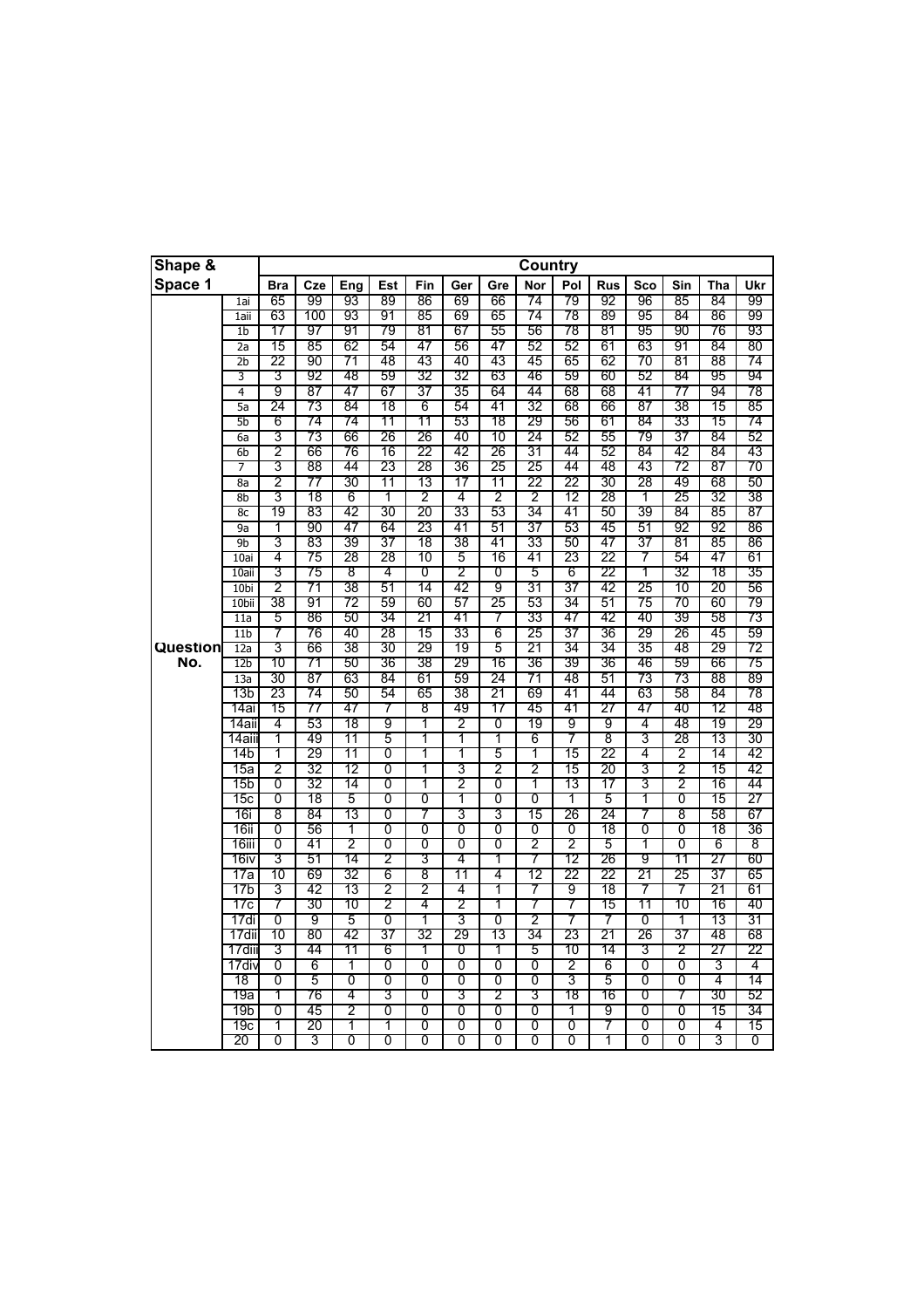| Shape &  |                  |                |          |         |                |          |                |                | <b>Country</b>      |          |            |          |                |          |          |
|----------|------------------|----------------|----------|---------|----------------|----------|----------------|----------------|---------------------|----------|------------|----------|----------------|----------|----------|
| Space 1  |                  | <b>Bra</b>     | Cze      | Eng     | Est            | Fin      | Ger            | Gre            | <b>Nor</b>          | Pol      | <b>Rus</b> | Sco      | Sin            | Tha      | Ukr      |
|          | 1ai              | 65             | 99       | 93      | 89             | 86       | 69             | 66             | 74                  | 79       | 92         | 96       | 85             | 84       | 99       |
|          | 1aii             | 63             | 100      | 93      | 91             | 85       | 69             | 65             | 74                  | 78       | 89         | 95       | 84             | 86       | 99       |
|          | $\overline{1}$   | 17             | 97       | 91      | 79             | 81       | 67             | 55             | 56                  | 78       | 81         | 95       | 90             | 76       | 93       |
|          | 2a               | 15             | 85       | 62      | 54             | 47       | 56             | 47             | 52                  | 52       | 61         | 63       | 91             | 84       | 80       |
|          | 2b               | 22             | 90       | 71      | 48             | 43       | 40             | 43             | 45                  | 65       | 62         | 70       | 81             | 88       | 74       |
|          | 3                | 3              | 92       | 48      | 59             | 32       | 32             | 63             | 46                  | 59       | 60         | 52       | 84             | 95       | 94       |
|          | $\overline{4}$   | 9              | 87       | 47      | 67             | 37       | 35             | 64             | 44                  | 68       | 68         | 41       | 77             | 94       | 78       |
|          | 5a               | 24             | 73       | 84      | 18             | 6        | 54             | 41             | 32                  | 68       | 66         | 87       | 38             | 15       | 85       |
|          | 5b               | 6              | 74       | 74      | 11             | 11       | 53             | 18             | 29                  | 56       | 61         | 84       | 33             | 15       | 74       |
|          | 6a               | 3              | 73       | 66      | 26             | 26       | 40             | 10             | 24                  | 52       | 55         | 79       | 37             | 84       | 52       |
|          | 6b               | 2              | 66       | 76      | 16             | 22       | 42             | 26             | 31                  | 44       | 52         | 84       | 42             | 84       | 43       |
|          | 7                | 3              | 88       | 44      | 23             | 28       | 36             | 25             | 25                  | 44       | 48         | 43       | 72             | 87       | 70       |
|          | 8a               | 2              | 77       | 30      | 11             | 13       | 17             | 11             | 22                  | 22       | 30         | 28       | 49             | 68       | 50       |
|          | 8 <sub>b</sub>   | 3              | 18       | 6<br>42 | 1<br>30        | 2        | 4<br>33        | 2              | 2<br>34             | 12<br>41 | 28         | 1        | 25             | 32       | 38       |
|          | 8c<br>9a         | 19<br>1        | 83<br>90 | 47      | 64             | 20<br>23 | 41             | 53<br>51       | 37                  | 53       | 50<br>45   | 39<br>51 | 84<br>92       | 85<br>92 | 87<br>86 |
|          | 9b               | 3              | 83       | 39      | 37             | 18       | 38             | 41             | 33                  | 50       | 47         | 37       | 81             | 85       |          |
|          | 10ai             | 4              | 75       | 28      | 28             | 10       | 5              | 16             | 41                  | 23       | 22         | 7        | 54             | 47       | 86<br>61 |
|          | 10aii            | 3              | 75       | 8       | 4              | 0        | 2              | 0              | 5                   | 6        | 22         | 1        | 32             | 18       | 35       |
|          | 10 <sub>bi</sub> | 2              | 71       | 38      | 51             | 14       | 42             | 9              | 31                  | 37       | 42         | 25       | 10             | 20       | 56       |
|          | 10 <sub>bi</sub> | 38             | 91       | 72      | 59             | 60       | 57             | 25             | 53                  | 34       | 51         | 75       | 70             | 60       | 79       |
|          | 11a              | 5              | 86       | 50      | 34             | 21       | 41             | 7              | 33                  | 47       | 42         | 40       | 39             | 58       | 73       |
|          | 11 <sub>b</sub>  | 7              | 76       | 40      | 28             | 15       | 33             | 6              | 25                  | 37       | 36         | 29       | 26             | 45       | 59       |
| Question | 12a              | 3              | 66       | 38      | 30             | 29       | 19             | 5              | 21                  | 34       | 34         | 35       | 48             | 29       | 72       |
| No.      | 12 <sub>b</sub>  | 10             | 71       | 50      | 36             | 38       | 29             | 16             | 36                  | 39       | 36         | 46       | 59             | 66       | 75       |
|          | 13a              | 30             | 87       | 63      | 84             | 61       | 59             | 24             | 71                  | 48       | 51         | 73       | 73             | 88       | 89       |
|          | 13b              | 23             | 74       | 50      | 54             | 65       | 38             | 21             | 69                  | 41       | 44         | 63       | 58             | 84       | 78       |
|          | 14ai             | 15             | 77       | 47      | 7              | 8        | 49             | 17             | 45                  | 41       | 27         | 47       | 40             | 12       | 48       |
|          | 14ail            | 4              | 53       | 18      | 9              | 1        | 2              | 0              | 19                  | 9        | 9          | 4        | 48             | 19       | 29       |
|          | 14aii            | 1              | 49       | 11      | 5              | 1        | T              | 1              | 6                   | 7        | 8          | 3        | 28             | 13       | 30       |
|          | 14b              | 1              | 29       | 11      | $\overline{0}$ | 1        | T              | 5              | T                   | 15       | 22         | 4        | $\overline{2}$ | 14       | 42       |
|          | 15a              | $\overline{2}$ | 32       | 12      | 0              | 1        | 3              | 2              | 2                   | 15       | 20         | 3        | 2              | 15       | 42       |
|          | 15b              | 0              | 32       | 14      | 0              | 1        | 2              | 0              | 1                   | 13       | 17         | 3        | $\overline{2}$ | 16       | 44       |
|          | 15с              | 0              | 18       | 5       | 0              | 0        | 1              | 0              | 0                   | 1        | 5          | 1        | 0              | 15       | 27       |
|          | 16i              | 8              | 84       | 13      | 0              | 7        | 3              | 3              | 15                  | 26       | 24         | 7        | 8              | 58       | 67       |
|          | 16ii             | 0              | 56       | 1       | $\overline{0}$ | 0        | 0              | $\overline{0}$ | $\overline{0}$      | 0        | 18         | 0        | 0              | 18       | 36       |
|          | 16iii            | 0              | 41       | 2       | 0              | 0        | 0              | 0              | $\overline{2}$      | 2        | 5          | 1        | 0              | 6        | 8        |
|          | 16iv             | 3              | 51       | 14      | $\overline{2}$ | 3        | 4              | 1              | 7                   | 12       | 26         | 9        | 11             | 27       | 60       |
|          | 17a              | 10             | 69       | 32      | 6              | 8        | 11             | 4              | 12                  | 22       | 22         | 21       | 25             | 37       | 65       |
|          | 17b              | 3              | 42       | 13      | $\overline{2}$ | 2        | 4              | 1              | 7                   | 9        | 18         | 7        | 7              | 21       | 61       |
|          | 17с              | 7              | 30       | 10      | $\overline{2}$ | 4        | $\overline{2}$ | 1              | 7                   | 7        | 15         | 11       | 10             | 16       | 40       |
|          | 17di             | Ō              | 9        | 5       | 0              | 1        | 3              | 0              | $\overline{2}$      | 7        | 7          | 0        | 1              | 13       | 31       |
|          | 17dii            | 10             | 80       | 42      | 37             | 32       | 29             | 13             | 34                  | 23       | 21         | 26       | 37             | 48       | 68       |
|          | 17dii            | 3              | 44       | 11      | 6              | 1        | 0              | 1              | 5                   | 10       | 14         | 3        | 2              | 27       | 22       |
|          | 17div            | 0              | 6        | 1       | 0              | 0        | 0              | 0              | 0                   | 2        | 6          | 0        | 0              | 3        | 4        |
|          | 18               | 0              | 5        | 0       | 0              | 0        | 0              | 0              | 0                   | 3        | 5          | 0        | 0              | 4        | 14       |
|          | 19a              | 1<br>0         | 76       | 4<br>2  | 3              | 0        | 3<br>0         | 2              | 3                   | 18<br>1  | 16         | 0<br>0   | 7              | 30       | 52       |
|          | 19b<br>19с       | 1              | 45<br>20 | 1       | 0<br>1         | 0<br>0   | 0              | 0<br>0         | 0<br>$\overline{0}$ | 0        | 9<br>7     | 0        | 0<br>0         | 15<br>4  | 34<br>15 |
|          | 20               | 0              | 3        | 0       | 0              | 0        | 0              | 0              | 0                   | 0        | 1          | 0        | 0              | 3        | 0        |
|          |                  |                |          |         |                |          |                |                |                     |          |            |          |                |          |          |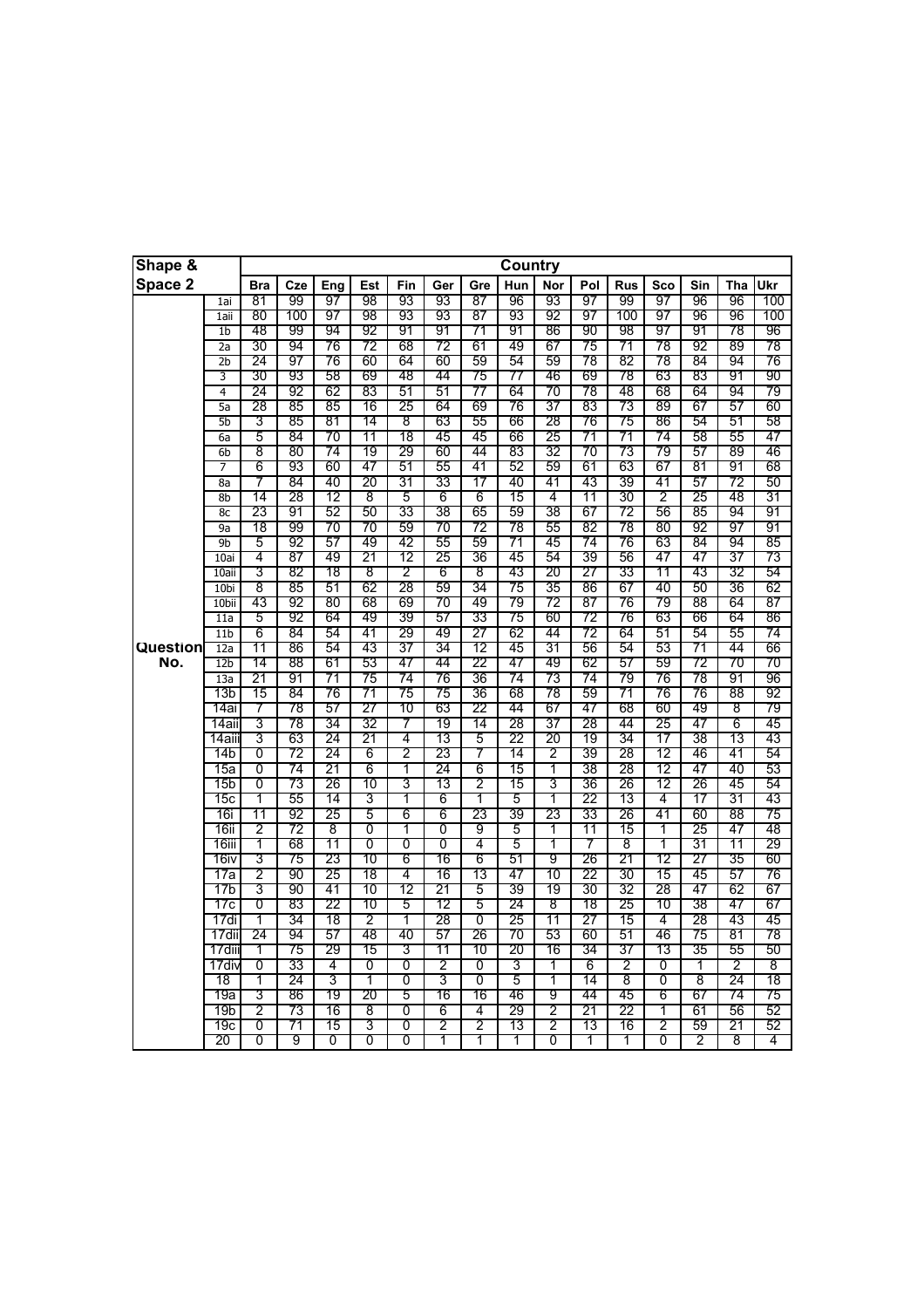| Shape &  |                                      |            |          |          |          |          |          |                | <b>Country</b> |          |          |            |          |          |          |          |
|----------|--------------------------------------|------------|----------|----------|----------|----------|----------|----------------|----------------|----------|----------|------------|----------|----------|----------|----------|
| Space 2  |                                      | <b>Bra</b> | Cze      | Eng      | Est      | Fin      | Ger      | Gre            | Hun            | Nor      | Pol      | <b>Rus</b> | Sco      | Sin      | Tha      | Ukr      |
|          | 1ai                                  | 81         | 99       | 97       | 98       | 93       | 93       | 87             | 96             | 93       | 97       | 99         | 97       | 96       | 96       | 100      |
|          | 1aii                                 | 80         | 100      | 97       | 98       | 93       | 93       | 87             | 93             | 92       | 97       | 100        | 97       | 96       | 96       | 100      |
|          | 1 <sub>b</sub>                       | 48         | 99       | 94       | 92       | 91       | 91       | 71             | 91             | 86       | 90       | 98         | 97       | 91       | 78       | 96       |
|          | $\overline{2a}$                      | 30         | 94       | 76       | 72       | 68       | 72       | 61             | 49             | 67       | 75       | 71         | 78       | 92       | 89       | 78       |
|          | $\overline{2b}$                      | 24         | 97       | 76       | 60       | 64       | 60       | 59             | 54             | 59       | 78       | 82         | 78       | 84       | 94       | 76       |
|          | 3                                    | 30         | 93       | 58       | 69       | 48       | 44       | 75             | 77             | 46       | 69       | 78         | 63       | 83       | 91       | 90       |
|          | $\overline{4}$                       | 24         | 92       | 62       | 83       | 51       | 51       | 77             | 64             | 70       | 78       | 48         | 68       | 64       | 94       | 79       |
|          | 5a                                   | 28         | 85       | 85       | 16       | 25       | 64       | 69             | 76             | 37       | 83       | 73         | 89       | 67       | 57       | 60       |
|          | 5 <sub>b</sub>                       | 3          | 85       | 81       | 14       | 8        | 63       | 55             | 66             | 28       | 76       | 75         | 86       | 54       | 51       | 58       |
|          | 6a                                   | 5          | 84       | 70       | 11       | 18       | 45       | 45             | 66             | 25       | 71       | 71         | 74       | 58       | 55       | 47       |
|          | 6 <sub>b</sub>                       | 8          | 80       | 74       | 19       | 29       | 60       | 44             | 83             | 32       | 70       | 73         | 79       | 57       | 89       | 46       |
|          | 7                                    | 6          | 93       | 60       | 47       | 51       | 55       | 41             | 52             | 59       | 61       | 63         | 67       | 81       | 91       | 68       |
|          | 8a                                   | 7          | 84       | 40       | 20       | 31       | 33       | 17             | 40             | 41       | 43       | 39         | 41       | 57       | 72       | 50       |
|          | 8 <sub>b</sub>                       | 14         | 28       | 12       | 8        | 5        | 6        | 6              | 15             | 4        | 11       | 30         | 2        | 25       | 48       | 31       |
|          | 8c                                   | 23         | 91       | 52       | 50       | 33       | 38       | 65             | 59             | 38       | 67       | 72         | 56       | 85       | 94       | 91       |
|          | 9a                                   | 18         | 99       | 70       | 70       | 59       | 70       | 72             | 78             | 55       | 82       | 78         | 80       | 92       | 97       | 91       |
|          | 9b                                   | 5          | 92       | 57       | 49       | 42       | 55       | 59             | 71             | 45       | 74       | 76         | 63       | 84       | 94       | 85       |
|          | 10ai                                 | 4          | 87       | 49       | 21       | 12       | 25       | 36             | 45             | 54       | 39       | 56<br>33   | 47<br>11 | 47       | 37       | 73       |
|          | 10ai                                 | 3          | 82       | 18       | 8        | 2        | 6        | 8              | 43             | 20       | 27       |            | 40       | 43<br>50 | 32       | 54       |
|          | 10 <sub>bi</sub><br>10 <sub>bi</sub> | 8<br>43    | 85<br>92 | 51<br>80 | 62<br>68 | 28<br>69 | 59<br>70 | 34<br>49       | 75<br>79       | 35<br>72 | 86<br>87 | 67<br>76   | 79       | 88       | 36<br>64 | 62<br>87 |
|          | 11a                                  | 5          | 92       | 64       | 49       | 39       | 57       | 33             | 75             | 60       | 72       | 76         | 63       | 66       | 64       | 86       |
|          | 11 <sub>b</sub>                      | 6          | 84       | 54       | 41       | 29       | 49       | 27             | 62             | 44       | 72       | 64         | 51       | 54       | 55       | 74       |
| Question | 12a                                  | 11         | 86       | 54       | 43       | 37       | 34       | 12             | 45             | 31       | 56       | 54         | 53       | 71       | 44       | 66       |
| No.      | 12 <sub>b</sub>                      | 14         | 88       | 61       | 53       | 47       | 44       | 22             | 47             | 49       | 62       | 57         | 59       | 72       | 70       | 70       |
|          | 13a                                  | 21         | 91       | 71       | 75       | 74       | 76       | 36             | 74             | 73       | 74       | 79         | 76       | 78       | 91       | 96       |
|          | 13b                                  | 15         | 84       | 76       | 71       | 75       | 75       | 36             | 68             | 78       | 59       | 71         | 76       | 76       | 88       | 92       |
|          | 14ai                                 | 7          | 78       | 57       | 27       | 10       | 63       | 22             | 44             | 67       | 47       | 68         | 60       | 49       | 8        | 79       |
|          | 14aii                                | 3          | 78       | 34       | 32       | 7        | 19       | 14             | 28             | 37       | 28       | 44         | 25       | 47       | 6        | 45       |
|          | 14aiii                               | 3          | 63       | 24       | 21       | 4        | 13       | 5              | 22             | 20       | 19       | 34         | 17       | 38       | 13       | 43       |
|          | 14b                                  | 0          | 72       | 24       | 6        | 2        | 23       | 7              | 14             | 2        | 39       | 28         | 12       | 46       | 41       | 54       |
|          | 15a                                  | 0          | 74       | 21       | 6        | 1        | 24       | 6              | 15             | 1        | 38       | 28         | 12       | 47       | 40       | 53       |
|          | 15b                                  | 0          | 73       | 26       | 10       | 3        | 13       | 2              | 15             | 3        | 36       | 26         | 12       | 26       | 45       | 54       |
|          | 15с                                  | 1          | 55       | 14       | 3        | 1        | 6        | 1              | 5              | 1        | 22       | 13         | 4        | 17       | 31       | 43       |
|          | 16i                                  | 11         | 92       | 25       | 5        | 6        | 6        | 23             | 39             | 23       | 33       | 26         | 41       | 60       | 88       | 75       |
|          | 16ii                                 | 2          | 72       | 8        | 0        | 1        | 0        | 9              | 5              | 1        | 11       | 15         | 1        | 25       | 47       | 48       |
|          | 16iii                                | 1          | 68       | 11       | 0        | 0        | 0        | 4              | 5              | 1        | 7        | 8          | 1        | 31       | 11       | 29       |
|          | 16iv                                 | 3          | 75       | 23       | 10       | 6        | 16       | 6              | 51             | 9        | 26       | 21         | 12       | 27       | 35       | 60       |
|          | 17a                                  | 2          | 90       | 25       | 18       | 4        | 16       | 13             | 47             | 10       | 22       | 30         | 15       | 45       | 57       | 76       |
|          | 17b                                  | 3          | 90       | 41       | 10       | 12       | 21       | 5              | 39             | 19       | 30       | 32         | 28       | 47       | 62       | 67       |
|          | 17с                                  | 0          | 83       | 22       | 10       | 5        | 12       | 5              | 24             | 8        | 18       | 25         | 10       | 38       | 47       | 67       |
|          | 17di                                 | 1          | 34       | 18       | 2        | 1        | 28       | $\overline{0}$ | 25             | 11       | 27       | 15         | 4        | 28       | 43       | 45       |
|          | 17dii                                | 24         | 94       | 57       | 48       | 40       | 57       | 26             | 70             | 53       | 60       | 51         | 46       | 75       | 81       | 78       |
|          | 17diii                               | 1          | 75       | 29       | 15       | 3        | 11       | 10             | 20             | 16       | 34       | 37         | 13       | 35       | 55       | 50       |
|          | 17div                                | 0          | 33       | 4        | 0        | 0        | 2        | 0              | 3              | 1        | 6        | 2          | 0        | 1        | 2        | 8        |
|          | 18                                   | T          | 24       | 3        | T        | 0        | 3        | 0              | 5              | 1        | 14       | 8          | 0        | 8        | 24       | 18       |
|          | 19a                                  | 3          | 86       | 19       | 20       | 5        | 16       | 16             | 46             | 9        | 44       | 45         | 6        | 67       | 74       | 75       |
|          | 19b                                  | 2          | 73       | 16       | 8        | 0        | 6        | 4              | 29             | 2        | 21       | 22         | 1        | 61       | 56       | 52       |
|          | 19с                                  | 0          | 71       | 15       | 3        | 0        | 2        | 2              | 13             | 2        | 13       | 16         | 2        | 59       | 21       | 52       |
|          | 20                                   | 0          | 9        | 0        | 0        | 0        | 1        | 1              | 1              | 0        | 1        | 1          | 0        | 2        | 8        | 4        |